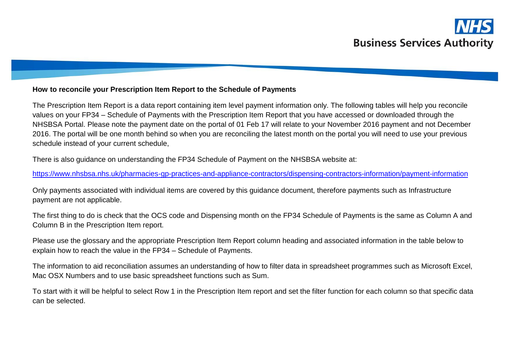

## **How to reconcile your Prescription Item Report to the Schedule of Payments**

The Prescription Item Report is a data report containing item level payment information only. The following tables will help you reconcile values on your FP34 – Schedule of Payments with the Prescription Item Report that you have accessed or downloaded through the NHSBSA Portal. Please note the payment date on the portal of 01 Feb 17 will relate to your November 2016 payment and not December 2016. The portal will be one month behind so when you are reconciling the latest month on the portal you will need to use your previous schedule instead of your current schedule,

There is also guidance on understanding the FP34 Schedule of Payment on the NHSBSA website at:

<https://www.nhsbsa.nhs.uk/pharmacies-gp-practices-and-appliance-contractors/dispensing-contractors-information/payment-information>

Only payments associated with individual items are covered by this guidance document, therefore payments such as Infrastructure payment are not applicable.

The first thing to do is check that the OCS code and Dispensing month on the FP34 Schedule of Payments is the same as Column A and Column B in the Prescription Item report.

Please use the glossary and the appropriate Prescription Item Report column heading and associated information in the table below to explain how to reach the value in the FP34 – Schedule of Payments.

The information to aid reconciliation assumes an understanding of how to filter data in spreadsheet programmes such as Microsoft Excel, Mac OSX Numbers and to use basic spreadsheet functions such as Sum.

To start with it will be helpful to select Row 1 in the Prescription Item report and set the filter function for each column so that specific data can be selected.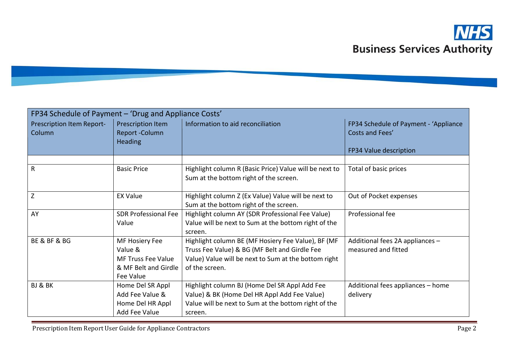

| FP34 Schedule of Payment - 'Drug and Appliance Costs' |                                                                                             |                                                                                                                                                                               |                                                          |
|-------------------------------------------------------|---------------------------------------------------------------------------------------------|-------------------------------------------------------------------------------------------------------------------------------------------------------------------------------|----------------------------------------------------------|
| Prescription Item Report-<br>Column                   | Prescription Item<br>Report-Column<br><b>Heading</b>                                        | Information to aid reconciliation                                                                                                                                             | FP34 Schedule of Payment - 'Appliance<br>Costs and Fees' |
|                                                       |                                                                                             |                                                                                                                                                                               | FP34 Value description                                   |
| $\mathsf{R}$                                          | <b>Basic Price</b>                                                                          | Highlight column R (Basic Price) Value will be next to<br>Sum at the bottom right of the screen.                                                                              | Total of basic prices                                    |
| Z                                                     | <b>EX Value</b>                                                                             | Highlight column Z (Ex Value) Value will be next to<br>Sum at the bottom right of the screen.                                                                                 | Out of Pocket expenses                                   |
| AY                                                    | <b>SDR Professional Fee</b><br>Value                                                        | Highlight column AY (SDR Professional Fee Value)<br>Value will be next to Sum at the bottom right of the<br>screen.                                                           | Professional fee                                         |
| BE & BF & BG                                          | MF Hosiery Fee<br>Value &<br><b>MF Truss Fee Value</b><br>& MF Belt and Girdle<br>Fee Value | Highlight column BE (MF Hosiery Fee Value), BF (MF<br>Truss Fee Value) & BG (MF Belt and Girdle Fee<br>Value) Value will be next to Sum at the bottom right<br>of the screen. | Additional fees 2A appliances -<br>measured and fitted   |
| BJ & BK                                               | Home Del SR Appl<br>Add Fee Value &<br>Home Del HR Appl<br>Add Fee Value                    | Highlight column BJ (Home Del SR Appl Add Fee<br>Value) & BK (Home Del HR Appl Add Fee Value)<br>Value will be next to Sum at the bottom right of the<br>screen.              | Additional fees appliances - home<br>delivery            |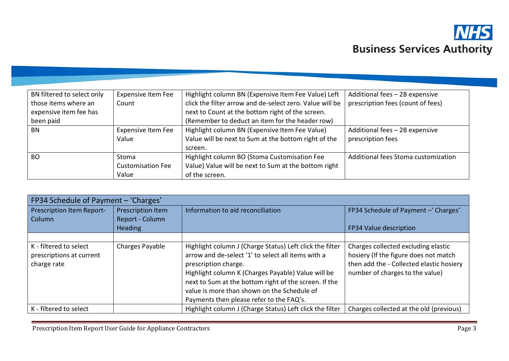

| BN filtered to select only | <b>Expensive Item Fee</b> | Highlight column BN (Expensive Item Fee Value) Left      | Additional fees - 2B expensive      |
|----------------------------|---------------------------|----------------------------------------------------------|-------------------------------------|
| those items where an       | Count                     | click the filter arrow and de-select zero. Value will be | prescription fees (count of fees)   |
| expensive item fee has     |                           | next to Count at the bottom right of the screen.         |                                     |
| been paid                  |                           | (Remember to deduct an item for the header row)          |                                     |
| BN                         | <b>Expensive Item Fee</b> | Highlight column BN (Expensive Item Fee Value)           | Additional fees - 2B expensive      |
|                            | Value                     | Value will be next to Sum at the bottom right of the     | prescription fees                   |
|                            |                           | screen.                                                  |                                     |
| <b>BO</b>                  | <b>Stoma</b>              | Highlight column BO (Stoma Customisation Fee             | Additional fees Stoma customization |
|                            | <b>Customisation Fee</b>  | Value) Value will be next to Sum at the bottom right     |                                     |
|                            | Value                     | of the screen.                                           |                                     |

| FP34 Schedule of Payment - 'Charges'                              |                   |                                                                                                                                                                                                                                                                                                                                                  |                                                                                                                                                             |
|-------------------------------------------------------------------|-------------------|--------------------------------------------------------------------------------------------------------------------------------------------------------------------------------------------------------------------------------------------------------------------------------------------------------------------------------------------------|-------------------------------------------------------------------------------------------------------------------------------------------------------------|
| Prescription Item Report-                                         | Prescription Item | Information to aid reconciliation                                                                                                                                                                                                                                                                                                                | FP34 Schedule of Payment - 'Charges'                                                                                                                        |
| Column                                                            | Report - Column   |                                                                                                                                                                                                                                                                                                                                                  |                                                                                                                                                             |
|                                                                   | <b>Heading</b>    |                                                                                                                                                                                                                                                                                                                                                  | FP34 Value description                                                                                                                                      |
|                                                                   |                   |                                                                                                                                                                                                                                                                                                                                                  |                                                                                                                                                             |
| K - filtered to select<br>prescriptions at current<br>charge rate | Charges Payable   | Highlight column J (Charge Status) Left click the filter<br>arrow and de-select '1' to select all items with a<br>prescription charge.<br>Highlight column K (Charges Payable) Value will be<br>next to Sum at the bottom right of the screen. If the<br>value is more than shown on the Schedule of<br>Payments then please refer to the FAQ's. | Charges collected excluding elastic<br>hosiery (If the figure does not match<br>then add the - Collected elastic hosiery<br>number of charges to the value) |
| K - filtered to select                                            |                   | Highlight column J (Charge Status) Left click the filter                                                                                                                                                                                                                                                                                         | Charges collected at the old (previous)                                                                                                                     |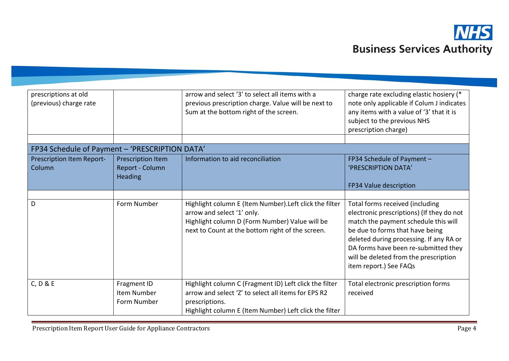

| prescriptions at old<br>(previous) charge rate |                                                        | arrow and select '3' to select all items with a<br>previous prescription charge. Value will be next to<br>Sum at the bottom right of the screen.                                            | charge rate excluding elastic hosiery (*<br>note only applicable if Colum J indicates<br>any items with a value of '3' that it is<br>subject to the previous NHS<br>prescription charge)                                                                                                                      |
|------------------------------------------------|--------------------------------------------------------|---------------------------------------------------------------------------------------------------------------------------------------------------------------------------------------------|---------------------------------------------------------------------------------------------------------------------------------------------------------------------------------------------------------------------------------------------------------------------------------------------------------------|
| FP34 Schedule of Payment - 'PRESCRIPTION DATA' |                                                        |                                                                                                                                                                                             |                                                                                                                                                                                                                                                                                                               |
| Prescription Item Report-<br>Column            | Prescription Item<br>Report - Column<br><b>Heading</b> | Information to aid reconciliation                                                                                                                                                           | FP34 Schedule of Payment -<br>'PRESCRIPTION DATA'<br>FP34 Value description                                                                                                                                                                                                                                   |
|                                                |                                                        |                                                                                                                                                                                             |                                                                                                                                                                                                                                                                                                               |
| D                                              | Form Number                                            | Highlight column E (Item Number). Left click the filter<br>arrow and select '1' only.<br>Highlight column D (Form Number) Value will be<br>next to Count at the bottom right of the screen. | Total forms received (including<br>electronic prescriptions) (If they do not<br>match the payment schedule this will<br>be due to forms that have being<br>deleted during processing. If any RA or<br>DA forms have been re-submitted they<br>will be deleted from the prescription<br>item report.) See FAQs |
| C, D & E                                       | Fragment ID<br>Item Number<br>Form Number              | Highlight column C (Fragment ID) Left click the filter<br>arrow and select 'Z' to select all items for EPS R2<br>prescriptions.<br>Highlight column E (Item Number) Left click the filter   | Total electronic prescription forms<br>received                                                                                                                                                                                                                                                               |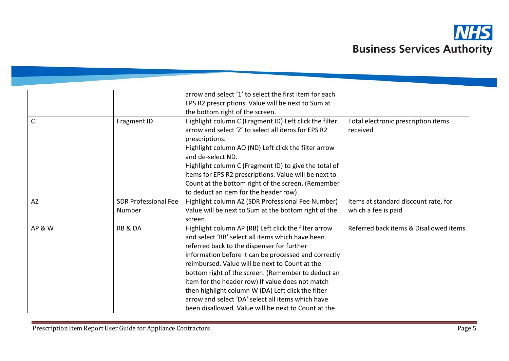

|                   |                             | arrow and select '1' to select the first item for each |                                        |
|-------------------|-----------------------------|--------------------------------------------------------|----------------------------------------|
|                   |                             | EPS R2 prescriptions. Value will be next to Sum at     |                                        |
|                   |                             | the bottom right of the screen.                        |                                        |
| C                 | Fragment ID                 | Highlight column C (Fragment ID) Left click the filter | Total electronic prescription items    |
|                   |                             | arrow and select 'Z' to select all items for EPS R2    | received                               |
|                   |                             | prescriptions.                                         |                                        |
|                   |                             | Highlight column AO (ND) Left click the filter arrow   |                                        |
|                   |                             | and de-select ND.                                      |                                        |
|                   |                             | Highlight column C (Fragment ID) to give the total of  |                                        |
|                   |                             | items for EPS R2 prescriptions. Value will be next to  |                                        |
|                   |                             | Count at the bottom right of the screen. (Remember     |                                        |
|                   |                             | to deduct an item for the header row)                  |                                        |
| <b>AZ</b>         | <b>SDR Professional Fee</b> | Highlight column AZ (SDR Professional Fee Number)      | Items at standard discount rate, for   |
|                   | Number                      | Value will be next to Sum at the bottom right of the   | which a fee is paid                    |
|                   |                             | screen.                                                |                                        |
| <b>AP &amp; W</b> | <b>RB &amp; DA</b>          | Highlight column AP (RB) Left click the filter arrow   | Referred back items & Disallowed items |
|                   |                             | and select 'RB' select all items which have been       |                                        |
|                   |                             | referred back to the dispenser for further             |                                        |
|                   |                             | information before it can be processed and correctly   |                                        |
|                   |                             | reimbursed. Value will be next to Count at the         |                                        |
|                   |                             | bottom right of the screen. (Remember to deduct an     |                                        |
|                   |                             | item for the header row) If value does not match       |                                        |
|                   |                             | then highlight column W (DA) Left click the filter     |                                        |
|                   |                             | arrow and select 'DA' select all items which have      |                                        |
|                   |                             | been disallowed. Value will be next to Count at the    |                                        |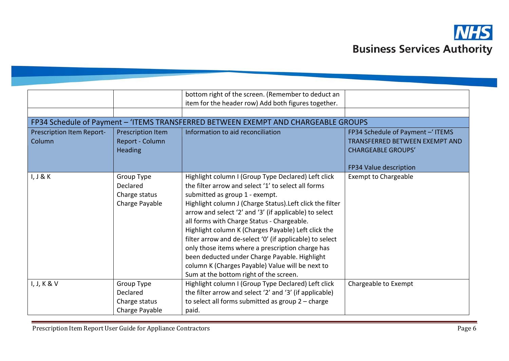

|                           |                   | bottom right of the screen. (Remember to deduct an                                 |                                  |
|---------------------------|-------------------|------------------------------------------------------------------------------------|----------------------------------|
|                           |                   | item for the header row) Add both figures together.                                |                                  |
|                           |                   |                                                                                    |                                  |
|                           |                   | FP34 Schedule of Payment - 'ITEMS TRANSFERRED BETWEEN EXEMPT AND CHARGEABLE GROUPS |                                  |
| Prescription Item Report- | Prescription Item | Information to aid reconciliation                                                  | FP34 Schedule of Payment - ITEMS |
| Column                    | Report - Column   |                                                                                    | TRANSFERRED BETWEEN EXEMPT AND   |
|                           | <b>Heading</b>    |                                                                                    | <b>CHARGEABLE GROUPS'</b>        |
|                           |                   |                                                                                    |                                  |
|                           |                   |                                                                                    | FP34 Value description           |
| I, J & K                  | Group Type        | Highlight column I (Group Type Declared) Left click                                | <b>Exempt to Chargeable</b>      |
|                           | Declared          | the filter arrow and select '1' to select all forms                                |                                  |
|                           | Charge status     | submitted as group 1 - exempt.                                                     |                                  |
|                           | Charge Payable    | Highlight column J (Charge Status). Left click the filter                          |                                  |
|                           |                   | arrow and select '2' and '3' (if applicable) to select                             |                                  |
|                           |                   | all forms with Charge Status - Chargeable.                                         |                                  |
|                           |                   | Highlight column K (Charges Payable) Left click the                                |                                  |
|                           |                   | filter arrow and de-select '0' (if applicable) to select                           |                                  |
|                           |                   | only those items where a prescription charge has                                   |                                  |
|                           |                   | been deducted under Charge Payable. Highlight                                      |                                  |
|                           |                   | column K (Charges Payable) Value will be next to                                   |                                  |
|                           |                   | Sum at the bottom right of the screen.                                             |                                  |
|                           |                   |                                                                                    |                                  |
| I, J, K & V               | Group Type        | Highlight column I (Group Type Declared) Left click                                | Chargeable to Exempt             |
|                           | Declared          | the filter arrow and select '2' and '3' (if applicable)                            |                                  |
|                           | Charge status     | to select all forms submitted as group $2$ – charge                                |                                  |
|                           | Charge Payable    | paid.                                                                              |                                  |